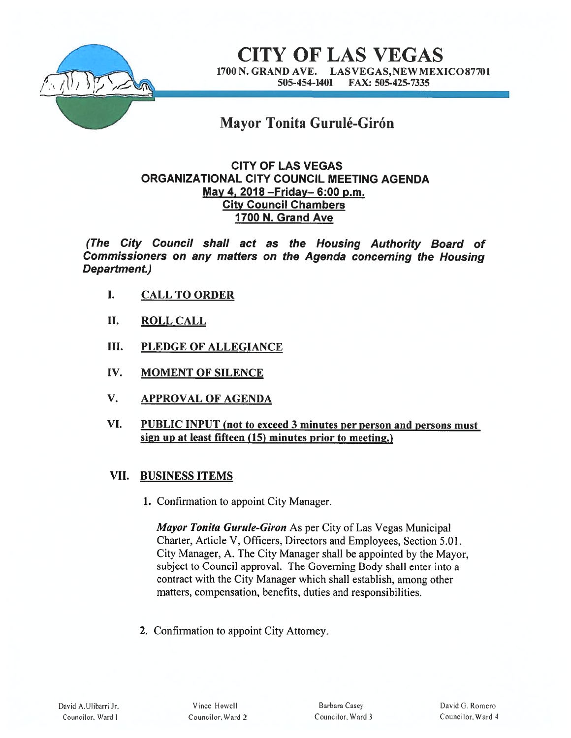

CITY OF LAS VEGAS 1700 N. GRAND AVE. LAS VEGAS,NEWMEXICO877O1 505-454-1401 FAX: 505-425-7335

# Mayor Tonita Gurulé-Girón

# CITY OF LAS VEGAS ORGANIZATIONAL CITY COUNCIL MEETING AGENDA May 4, 2018 —Friday— 6:00 p.m. City Council Chambers 1700 N. Grand Ave

(The City Council shall act as the Housing Authority Board of Commissioners on any matters on the Agenda concerning the Housing Department.)

- I. CALL TO ORDER
- II. ROLL CALL
- III. PLEDGE OF ALLEGIANCE
- IV. MOMENT OF SILENCE
- V. APPROVAL OF AGENDA
- VI. PUBLIC INPUT (not to exceed 3 minutes per person and persons must sign up at least fifteen (15) minutes prior to meeting.)

# VII. BUSINESS ITEMS

1. Confirmation to appoint City Manager.

Mayor Tonita Gurule-Giron As per City of Las Vegas Municipal Charter, Article V. Officers. Directors and Employees, Section 5.01. City Manager. A. The City Manager shall be appointed by the Mayor. subject to Council approval. The Governing Body shall enter into <sup>a</sup> contract with the City Manager which shall establish, among other matters, compensation, benefits, duties and responsibilities.

2. Confirmation to appoint City Attorney.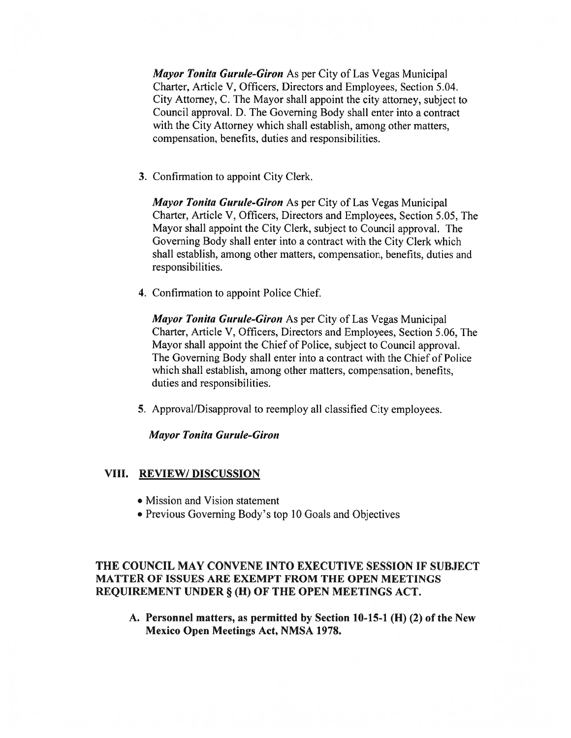Mayor Tonita Gurule-Giron As per City of Las Vegas Municipal Charter, Article V, Officers, Directors and Employees, Section 5.04. City Attorney, C. The Mayor shall appoint the city attorney, subject to Council approval. D. The Governing Body shall enter into <sup>a</sup> contract with the City Attorney which shall establish, among other matters, compensation, benefits, duties and responsibilities.

3. Confirmation to appoint City Clerk.

Mayor Tonita Gurule-Giron As per City of Las Vegas Municipal Charter, Article V, Officers, Directors and Employees, Section 5.05, The Mayor shall appoint the City Clerk, subject to Council approval. The Governing Body shall enter into <sup>a</sup> contract with the City Clerk which shall establish, among other matters, compensation, benefits, duties and responsibilities.

4. Confirmation to appoint Police Chief

Mayor Tonita Gurule-Giron As per City of Las Vegas Municipal Charter, Article V, Officers, Directors and Employees, Section 5.06, The Mayor shall appoint the Chief of Police, subject to Council approval. The Governing Body shall enter into <sup>a</sup> contract with the Chief of Police which shall establish, among other matters, compensation, benefits, duties and responsibilities.

5. Approval/Disapproval to reemploy all classified City employees.

**Mayor Tonita Gurule-Giron** 

#### VIII. REVIEW/DISCUSSION

- Mission and Vision statement
- Previous Governing Body's top 10 Goals and Objectives

## THE COUNCIL MAY CONVENE INTO EXECUTIVE SESSION IF SUBJECT MATTER OF ISSUES ARE EXEMPT FROM THE OPEN MEETINGS REQUIREMENT UNDER § (H) OF THE OPEN MEETINGS ACT.

A. Personnel matters, as permitted by Section 10-15-1 (H) (2) of the New Mexico Open Meetings Act, NMSA 1978.